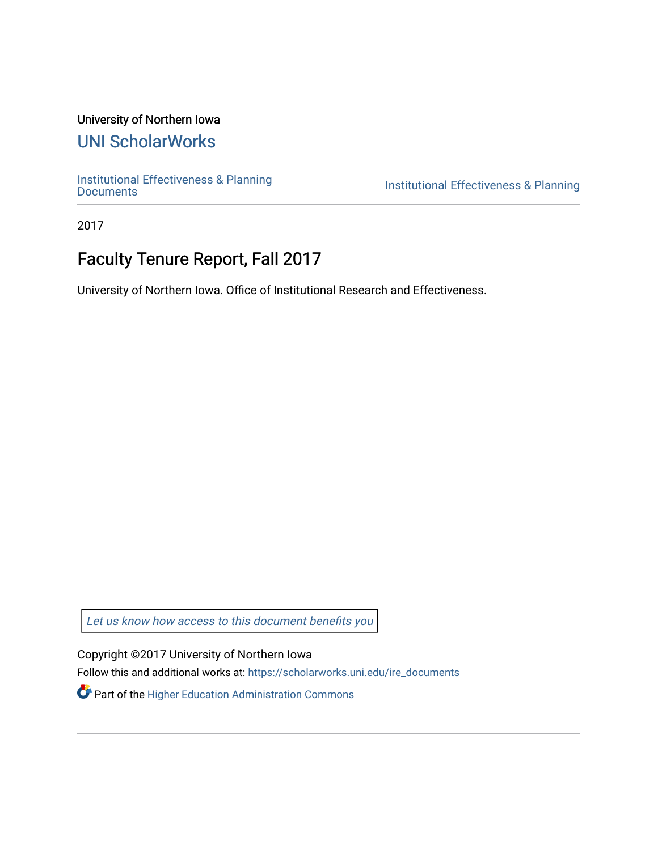### University of Northern Iowa

# [UNI ScholarWorks](https://scholarworks.uni.edu/)

[Institutional Effectiveness & Planning](https://scholarworks.uni.edu/ire_documents)

Institutional Effectiveness & Planning

2017

# Faculty Tenure Report, Fall 2017

University of Northern Iowa. Office of Institutional Research and Effectiveness.

[Let us know how access to this document benefits you](https://scholarworks.uni.edu/feedback_form.html) 

Copyright ©2017 University of Northern Iowa

Follow this and additional works at: [https://scholarworks.uni.edu/ire\\_documents](https://scholarworks.uni.edu/ire_documents?utm_source=scholarworks.uni.edu%2Fire_documents%2F265&utm_medium=PDF&utm_campaign=PDFCoverPages) 

Part of the [Higher Education Administration Commons](http://network.bepress.com/hgg/discipline/791?utm_source=scholarworks.uni.edu%2Fire_documents%2F265&utm_medium=PDF&utm_campaign=PDFCoverPages)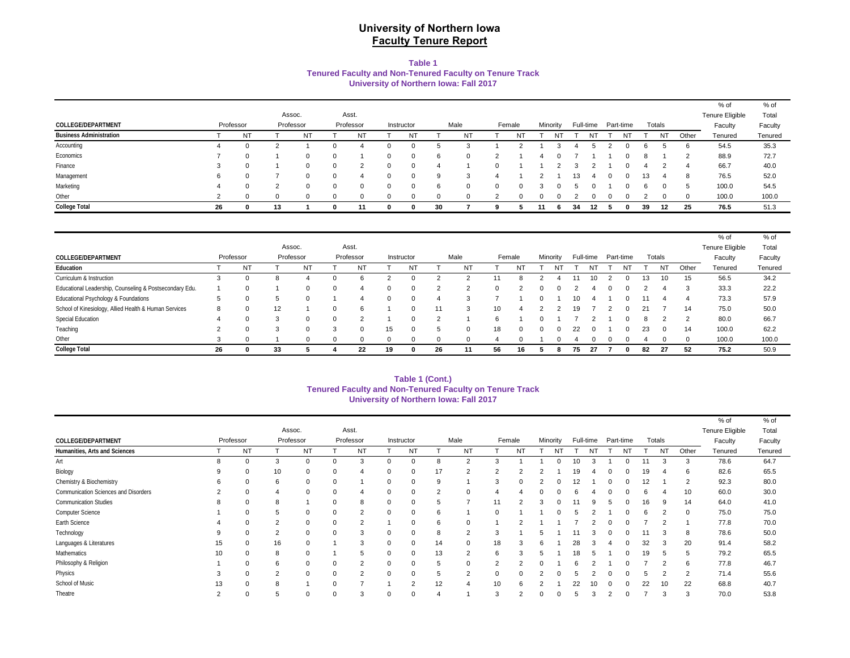### **University of Northern Iowa Faculty Tenure Report**

#### **Table 1 Tenured Faculty and Non-Tenured Faculty on Tenure Track University of Northern Iowa: Fall 2017**

|                                |           |          |           |            |             |           |             |            |          |           |        |    |          |    |    |                     |     |           |             | % of                   | % of    |
|--------------------------------|-----------|----------|-----------|------------|-------------|-----------|-------------|------------|----------|-----------|--------|----|----------|----|----|---------------------|-----|-----------|-------------|------------------------|---------|
|                                |           |          | Assoc.    |            |             | Asst.     |             |            |          |           |        |    |          |    |    |                     |     |           |             | <b>Tenure Eligible</b> | Total   |
| COLLEGE/DEPARTMENT             | Professor |          | Professor |            |             | Professor |             | Instructor |          | Male      | Female |    | Minority |    |    | Full-time Part-time |     | Totals    |             | Faculty                | Faculty |
| <b>Business Administration</b> |           | NT       |           | NT         |             | N1        |             | NT         |          | <b>NT</b> | NT     |    | N.       |    | N1 | NT                  |     | <b>NT</b> | Other       | Tenured                | Tenured |
| Accounting                     | 4         |          |           |            | 0           |           |             |            |          |           |        |    |          |    |    |                     |     |           | 6           | 54.5                   | 35.3    |
| Economics                      |           |          |           | $\Omega$   | 0           |           | 0           |            | 6        | 0         |        |    |          |    |    |                     |     |           |             | 88.9                   | 72.7    |
| Finance                        | 3         | $\Omega$ |           | $^{\circ}$ | 0           |           | $\mathbf 0$ |            |          |           |        |    |          |    |    |                     |     |           | 4           | 66.7                   | 40.0    |
| Management                     | 6         |          |           | $\Omega$   | $\Omega$    | 4         | 0           |            | 9        |           |        |    |          | 13 |    |                     | د ا |           | 8           | 76.5                   | 52.0    |
| Marketing                      | 4         |          |           | $\Omega$   | $\mathbf 0$ | $\Omega$  | 0           |            | 6        | $\Omega$  |        |    |          |    |    |                     | 6   |           | $\mathbf b$ | 100.0                  | 54.5    |
| Other                          | 2         |          | $\Omega$  | 0          | 0           | $\Omega$  | 0           |            | $\Omega$ | $\Omega$  |        |    |          |    |    |                     |     |           | $\Omega$    | 100.0                  | 100.0   |
| <b>College Total</b>           | 26        |          | 13        |            | $\mathbf 0$ | 11        | 0           |            | 30       |           |        | 11 | - 6      | 34 | 12 | 0                   | 39  | 12        | 25          | 76.5                   | 51.3    |

|                                                         |                |           |           |           |           |    |              |        |          |                 |              |          |                 |           |              |    |                |               | $%$ of          | % of    |
|---------------------------------------------------------|----------------|-----------|-----------|-----------|-----------|----|--------------|--------|----------|-----------------|--------------|----------|-----------------|-----------|--------------|----|----------------|---------------|-----------------|---------|
|                                                         |                |           | Assoc.    |           | Asst.     |    |              |        |          |                 |              |          |                 |           |              |    |                |               | Tenure Eligible | Total   |
| COLLEGE/DEPARTMENT                                      |                | Professor | Professor |           | Professor |    | Instructor   |        | Male     |                 | Female       | Minority |                 | Full-time | Part-time    |    | Totals         |               | Faculty         | Faculty |
| Education                                               |                | <b>NT</b> |           | <b>NT</b> | NT        |    | <b>NT</b>    |        | NT       |                 | NT           |          |                 |           |              |    | N <sub>T</sub> | Other         | Tenured         | Tenured |
| Curriculum & Instruction                                |                |           | 8         |           |           |    |              |        |          |                 |              |          |                 | 10        |              | 13 |                | 15            | 56.5            | 34.2    |
| Educational Leadership, Counseling & Postsecondary Edu. |                |           |           |           | Δ         |    | $\Omega$     | ົ      | ◠        | $\Omega$        |              |          |                 |           | $\Omega$     |    |                | 3             | 33.3            | 22.2    |
| Educational Psychology & Foundations                    |                |           | 5         |           | Δ         |    | $\Omega$     |        | 3        |                 |              |          | 10 <sup>2</sup> |           |              |    |                |               | 73.3            | 57.9    |
| School of Kinesiology, Allied Health & Human Services   | 8              |           | 12        |           |           |    | <sup>0</sup> |        | 3        | 10 <sup>1</sup> | 4            |          | 19              |           |              | 21 |                | 14            | 75.0            | 50.0    |
| Special Education                                       |                |           | 3         |           | $\sim$    |    | <sup>0</sup> | $\sim$ |          | 6               |              |          |                 |           |              |    |                | $\mathcal{P}$ | 80.0            | 66.7    |
| Teaching                                                | $\overline{2}$ | υ         | 3         |           |           | 15 | $\Omega$     |        | $\Omega$ | 18              | 0            |          | 22              |           | <sup>0</sup> | 23 | $\Omega$       | 14            | 100.0           | 62.2    |
| Other                                                   |                |           |           |           |           |    |              |        |          |                 | <sup>0</sup> |          |                 |           |              |    |                | $\Omega$      | 100.0           | 100.0   |
| <b>College Total</b>                                    | 26             |           | 33        |           | 22        | 19 |              | 26     |          | 56              | 16           | 8        | 75              | -27       |              | 82 | 27             | 52            | 75.2            | 50.9    |

#### **University of Northern Iowa: Fall 2017 Tenured Faculty and Non-Tenured Faculty on Tenure Track Table 1 (Cont.)**

| % of<br>Assoc.<br>Asst.<br>Tenure Eligible<br>Female<br>Full-time<br>Totals<br>Professor<br>Minority<br>Professor<br>Professor<br>Male<br>Part-time<br>COLLEGE/DEPARTMENT<br>Instructor<br>Faculty<br><b>NT</b><br><b>NT</b><br><b>NT</b><br>Humanities, Arts and Sciences<br>NT<br>NT<br><b>NT</b><br><b>NT</b><br>N <sub>T</sub><br>N <sub>T</sub><br><b>NT</b><br>Other<br>Tenured<br>3<br>78.6<br>Art<br>8<br>$\overline{2}$<br>3<br>0<br>$\Omega$<br>$\Omega$<br>10<br>$\mathbf 0$<br>Biology<br>10<br>82.6<br>0<br>17<br>6<br>0<br>$\overline{2}$<br>19<br>9<br>$\mathbf 0$<br>2<br>19<br>Chemistry & Biochemistry<br>92.3<br>6<br>$\mathbf 0$<br>$\overline{2}$<br>6<br>$\mathbf 0$<br>0<br>3<br>12<br>$\mathbf 0$<br>9<br>$\Omega$<br>Communication Sciences and Disorders<br>60.0<br>10<br>2<br>0<br>4<br>$\Omega$<br>0<br>2<br>$\mathbf 0$<br>$\Omega$<br>6<br><b>Communication Studies</b><br>64.0<br>8<br>14<br>8<br>0<br>0<br>8<br>11<br>16<br>0<br>9<br>5<br>Computer Science<br>5<br>75.0<br>$\mathbf 0$<br>$\overline{2}$<br>$\mathbf 0$<br>0<br>$\Omega$<br>$\mathbf 0$<br>6<br>6<br>$\Omega$<br>0<br>Earth Science<br>77.8<br>0<br>$\overline{2}$<br>$\mathbf 0$<br>$\mathbf 0$<br>$\overline{2}$<br>6<br>0<br>$\mathbf{0}$<br>$\Omega$<br>Technology<br>$\overline{2}$<br>78.6<br>$\mathbf 0$<br>$\overline{2}$<br>8<br>$\Omega$<br>0<br>3<br>9<br>$\mathbf 0$<br>8<br>3<br>$\Omega$<br>20<br>16<br>91.4<br>15<br>$\mathbf{0}$<br>3<br>32<br>$\Omega$<br>0<br>18<br>28<br>$\mathbf 0$<br>14<br>3<br>3<br>0<br>h |                         |         |
|------------------------------------------------------------------------------------------------------------------------------------------------------------------------------------------------------------------------------------------------------------------------------------------------------------------------------------------------------------------------------------------------------------------------------------------------------------------------------------------------------------------------------------------------------------------------------------------------------------------------------------------------------------------------------------------------------------------------------------------------------------------------------------------------------------------------------------------------------------------------------------------------------------------------------------------------------------------------------------------------------------------------------------------------------------------------------------------------------------------------------------------------------------------------------------------------------------------------------------------------------------------------------------------------------------------------------------------------------------------------------------------------------------------------------------------------------------------------------------------------------------------------------------|-------------------------|---------|
|                                                                                                                                                                                                                                                                                                                                                                                                                                                                                                                                                                                                                                                                                                                                                                                                                                                                                                                                                                                                                                                                                                                                                                                                                                                                                                                                                                                                                                                                                                                                    |                         | % of    |
|                                                                                                                                                                                                                                                                                                                                                                                                                                                                                                                                                                                                                                                                                                                                                                                                                                                                                                                                                                                                                                                                                                                                                                                                                                                                                                                                                                                                                                                                                                                                    |                         | Total   |
|                                                                                                                                                                                                                                                                                                                                                                                                                                                                                                                                                                                                                                                                                                                                                                                                                                                                                                                                                                                                                                                                                                                                                                                                                                                                                                                                                                                                                                                                                                                                    |                         | Faculty |
|                                                                                                                                                                                                                                                                                                                                                                                                                                                                                                                                                                                                                                                                                                                                                                                                                                                                                                                                                                                                                                                                                                                                                                                                                                                                                                                                                                                                                                                                                                                                    |                         | Tenured |
|                                                                                                                                                                                                                                                                                                                                                                                                                                                                                                                                                                                                                                                                                                                                                                                                                                                                                                                                                                                                                                                                                                                                                                                                                                                                                                                                                                                                                                                                                                                                    |                         | 64.7    |
|                                                                                                                                                                                                                                                                                                                                                                                                                                                                                                                                                                                                                                                                                                                                                                                                                                                                                                                                                                                                                                                                                                                                                                                                                                                                                                                                                                                                                                                                                                                                    |                         | 65.5    |
|                                                                                                                                                                                                                                                                                                                                                                                                                                                                                                                                                                                                                                                                                                                                                                                                                                                                                                                                                                                                                                                                                                                                                                                                                                                                                                                                                                                                                                                                                                                                    |                         | 80.0    |
|                                                                                                                                                                                                                                                                                                                                                                                                                                                                                                                                                                                                                                                                                                                                                                                                                                                                                                                                                                                                                                                                                                                                                                                                                                                                                                                                                                                                                                                                                                                                    |                         | 30.0    |
|                                                                                                                                                                                                                                                                                                                                                                                                                                                                                                                                                                                                                                                                                                                                                                                                                                                                                                                                                                                                                                                                                                                                                                                                                                                                                                                                                                                                                                                                                                                                    |                         | 41.0    |
|                                                                                                                                                                                                                                                                                                                                                                                                                                                                                                                                                                                                                                                                                                                                                                                                                                                                                                                                                                                                                                                                                                                                                                                                                                                                                                                                                                                                                                                                                                                                    |                         | 75.0    |
|                                                                                                                                                                                                                                                                                                                                                                                                                                                                                                                                                                                                                                                                                                                                                                                                                                                                                                                                                                                                                                                                                                                                                                                                                                                                                                                                                                                                                                                                                                                                    |                         | 70.0    |
|                                                                                                                                                                                                                                                                                                                                                                                                                                                                                                                                                                                                                                                                                                                                                                                                                                                                                                                                                                                                                                                                                                                                                                                                                                                                                                                                                                                                                                                                                                                                    |                         | 50.0    |
|                                                                                                                                                                                                                                                                                                                                                                                                                                                                                                                                                                                                                                                                                                                                                                                                                                                                                                                                                                                                                                                                                                                                                                                                                                                                                                                                                                                                                                                                                                                                    | Languages & Literatures | 58.2    |
| Mathematics<br>79.2<br>8<br>5<br>$\mathbf 0$<br>13<br>10<br>5<br>2<br>19<br>$\Omega$<br>$\Omega$<br>18<br>6<br>3<br>$\Omega$<br>-5                                                                                                                                                                                                                                                                                                                                                                                                                                                                                                                                                                                                                                                                                                                                                                                                                                                                                                                                                                                                                                                                                                                                                                                                                                                                                                                                                                                                 |                         | 65.5    |
| Philosophy & Religion<br>6<br>77.8<br>$\mathbf 0$<br>$\overline{2}$<br>6<br>$\Omega$<br>0<br>$\mathbf 0$<br>$\Omega$<br>$\Omega$<br>5<br>$\overline{2}$<br>2<br>っ<br>$\Omega$                                                                                                                                                                                                                                                                                                                                                                                                                                                                                                                                                                                                                                                                                                                                                                                                                                                                                                                                                                                                                                                                                                                                                                                                                                                                                                                                                      |                         | 46.7    |
| Physics<br>2<br>71.4<br>$\mathbf 0$<br>0<br>$\overline{2}$<br>$\overline{2}$<br>$\Omega$<br>$\overline{2}$<br>3<br>$\Omega$<br>っ<br>$\Omega$<br>$\Omega$<br>$\Omega$                                                                                                                                                                                                                                                                                                                                                                                                                                                                                                                                                                                                                                                                                                                                                                                                                                                                                                                                                                                                                                                                                                                                                                                                                                                                                                                                                               |                         | 55.6    |
| School of Music<br>22<br>68.8<br>13<br>8<br>12<br>$\mathbf 0$<br>0<br>$\mathcal{D}$<br>22<br>22<br>6<br>10<br>$\Omega$<br>$\Omega$                                                                                                                                                                                                                                                                                                                                                                                                                                                                                                                                                                                                                                                                                                                                                                                                                                                                                                                                                                                                                                                                                                                                                                                                                                                                                                                                                                                                 |                         | 40.7    |
| Theatre<br>70.0<br>5<br>3<br>$\overline{2}$<br>0<br>$\Omega$<br>3<br>2<br>$\Omega$<br>$\Omega$<br>З<br>$\Omega$<br>$\Omega$                                                                                                                                                                                                                                                                                                                                                                                                                                                                                                                                                                                                                                                                                                                                                                                                                                                                                                                                                                                                                                                                                                                                                                                                                                                                                                                                                                                                        |                         | 53.8    |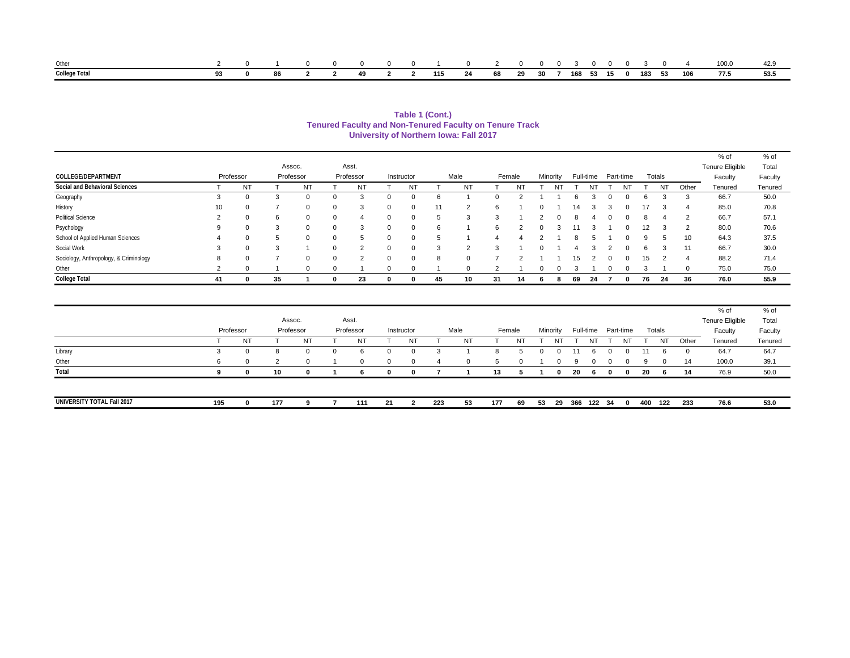| Other                |  |  |  |  |  |  |  |  |  |  | 0 0 0 1 0 2 0 0 0 3 0 0 0 3 0 4 100.0                              |  |
|----------------------|--|--|--|--|--|--|--|--|--|--|--------------------------------------------------------------------|--|
| <b>College Total</b> |  |  |  |  |  |  |  |  |  |  | 0 86 2 2 49 2 2 115 24 68 29 30 7 168 53 15 0 183 53 106 77.5 53.5 |  |

**University of Northern Iowa: Fall 2017 Tenured Faculty and Non-Tenured Faculty on Tenure Track Table 1 (Cont.)**

|                                        |    |           |           |              |          |               |              |            |    |          |              |           |           |    |           |              |                |    |           |                | % of            | % of    |
|----------------------------------------|----|-----------|-----------|--------------|----------|---------------|--------------|------------|----|----------|--------------|-----------|-----------|----|-----------|--------------|----------------|----|-----------|----------------|-----------------|---------|
|                                        |    |           | Assoc.    |              |          | Asst.         |              |            |    |          |              |           |           |    |           |              |                |    |           |                | Tenure Eligible | Total   |
| <b>COLLEGE/DEPARTMENT</b>              |    | Professor | Professor |              |          | Professor     |              | Instructor |    | Male     |              | Female    | Minority  |    | Full-time |              | Part-time      |    | Totals    |                | Faculty         | Faculty |
| Social and Behavioral Sciences         |    | <b>NT</b> |           | <b>NT</b>    |          | NT            |              | <b>NT</b>  |    | ΝT       |              | <b>NT</b> | <b>NT</b> |    | NT        |              | N <sub>T</sub> |    | <b>NT</b> | Other          | Tenured         | Tenured |
| Geography                              | 3  | 0         | -3        | $\Omega$     | 0        | 3             | 0            | 0          |    |          | <sup>0</sup> |           |           |    |           | $\Omega$     |                |    |           | 3              | 66.7            | 50.0    |
| History                                | 10 | $\Omega$  |           | $\Omega$     | 0        | 3             | 0            | 0          | 11 | ◠        | 6            |           |           | 14 |           |              |                | 17 |           | 4              | 85.0            | 70.8    |
| <b>Political Science</b>               | 2  | $\Omega$  | 6         | $\mathbf{0}$ | $\Omega$ | 4             | $\Omega$     | 0          |    | 3        | $\sim$       |           |           |    |           | <sup>0</sup> |                |    |           | $\overline{2}$ | 66.7            | 57.1    |
| Psychology                             | 9  | $\Omega$  | 3         | 0            | 0        |               | $\Omega$     | 0          | 6  |          | 6            |           |           |    |           |              |                | 12 |           | $\overline{2}$ | 80.0            | 70.6    |
| School of Applied Human Sciences       | 4  | $\Omega$  |           | 0            | 0        | h             | 0            |            |    |          |              |           |           |    |           |              |                | 9  |           | 10             | 64.3            | 37.5    |
| Social Work                            | 3  | $\Omega$  | 3         |              |          | C             | $\Omega$     | $\Omega$   | 3  | $\Omega$ | $\sim$       |           |           |    |           |              |                |    | $\sim$    | 11             | 66.7            | 30.0    |
| Sociology, Anthropology, & Criminology | 8  | $\Omega$  |           | 0            | $\Omega$ | $\mathcal{P}$ | $\Omega$     | 0          | 8  |          |              | ◠         |           | 15 |           | $\Omega$     |                | 15 | $\Omega$  | 4              | 88.2            | 71.4    |
| Other                                  | 2  | $\Omega$  |           | $\Omega$     | $\Omega$ |               | $\Omega$     | 0          |    |          |              |           |           |    |           |              |                |    |           | $\Omega$       | 75.0            | 75.0    |
| <b>College Total</b>                   | 41 | 0         | 35        |              |          | 23            | $\mathbf{0}$ | o          | 45 | 10       | 31           | 14        |           | 69 | 24        |              |                | 76 | 24        | 36             | 76.0            | 55.9    |

|                            |     | Professor |     | Assoc.<br>Professor | Asst.<br>Professor |          | Instructor |     | Male     |        | Female   |    | Minority |     |     |              | Full-time Part-time |          | Totals    |          | % of<br>Tenure Eligible<br>Faculty | % of<br>Total<br>Faculty |
|----------------------------|-----|-----------|-----|---------------------|--------------------|----------|------------|-----|----------|--------|----------|----|----------|-----|-----|--------------|---------------------|----------|-----------|----------|------------------------------------|--------------------------|
|                            |     | NT        |     | NT                  | NT                 |          | <b>NT</b>  |     | NT       |        | NT       |    |          |     | N٦  |              | NT                  |          | <b>NT</b> | Other    | Tenured                            | Tenured                  |
| Library                    | - 5 | 0         | ŏ   | $\Omega$            | 6                  |          |            |     |          |        |          |    |          |     |     |              | $\Omega$            | 11       | 6         | $\Omega$ | 64.7                               | 64.7                     |
| Other                      | 6   | $\Omega$  | ຳ   | $\Omega$            | $\Omega$           | $\Omega$ | $\Omega$   | Δ   | $\Omega$ | $\sim$ | $\Omega$ |    |          | a   |     | <sup>o</sup> | $\Omega$            | $\alpha$ | $\Omega$  | 14       | 100.0                              | 39.1                     |
| Total                      |     | 0         | 10  |                     | 6.                 | n        |            |     |          | 13     |          |    |          | 20  | - 6 | 0            | $\mathbf{0}$        | -20      |           | 14       | 76.9                               | 50.0                     |
|                            |     |           |     |                     |                    |          |            |     |          |        |          |    |          |     |     |              |                     |          |           |          |                                    |                          |
| UNIVERSITY TOTAL Fall 2017 | 195 | 0         | 177 |                     | 111                | 21       |            | 223 | 53       | 177    | 69       | 53 | -29      | 366 | 122 | 34           | 0                   | 400      | 122       | 233      | 76.6                               | 53.0                     |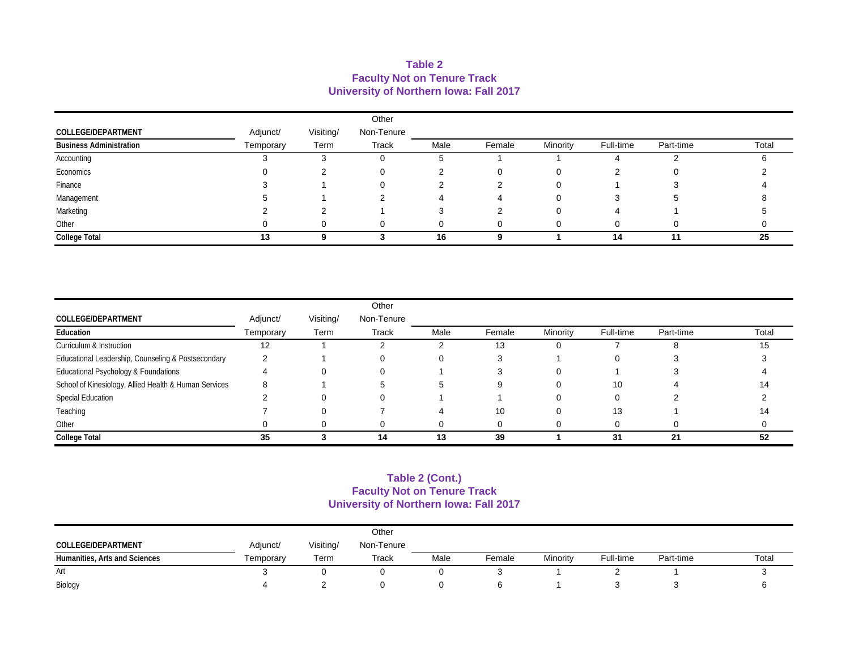#### **Table 2 Faculty Not on Tenure Track University of Northern Iowa: Fall 2017**

|                                |           |           | Other      |      |        |          |           |           |       |
|--------------------------------|-----------|-----------|------------|------|--------|----------|-----------|-----------|-------|
| COLLEGE/DEPARTMENT             | Adjunct/  | Visiting/ | Non-Tenure |      |        |          |           |           |       |
| <b>Business Administration</b> | Temporary | Term      | Track      | Male | Female | Minority | Full-time | Part-time | Total |
| Accounting                     |           |           |            |      |        |          |           |           |       |
| Economics                      |           |           | 0          |      |        |          |           |           |       |
| Finance                        |           |           |            |      |        |          |           |           |       |
| Management                     |           |           |            |      |        |          |           |           |       |
| Marketing                      |           |           |            |      |        |          |           |           |       |
| Other                          |           |           | 0          |      |        |          |           |           |       |
| <b>College Total</b>           | 13        |           |            | 16   |        |          | 14        | 11        | 25    |

|                                                       |           |           | Other        |      |        |          |           |           |       |
|-------------------------------------------------------|-----------|-----------|--------------|------|--------|----------|-----------|-----------|-------|
| COLLEGE/DEPARTMENT                                    | Adjunct/  | Visiting/ | Non-Tenure   |      |        |          |           |           |       |
| Education                                             | Temporary | Term      | <b>Track</b> | Male | Female | Minority | Full-time | Part-time | Total |
| Curriculum & Instruction                              | 12        |           |              |      | 13     |          |           |           | 15    |
| Educational Leadership, Counseling & Postsecondary    |           |           |              |      |        |          |           |           |       |
| Educational Psychology & Foundations                  |           |           |              |      |        |          |           |           |       |
| School of Kinesiology, Allied Health & Human Services | 8         |           |              |      |        |          | 10        |           | 14    |
| <b>Special Education</b>                              |           |           |              |      |        |          |           |           |       |
| Teaching                                              |           |           |              |      | 10     |          | 13        |           | 14    |
| Other                                                 |           |           |              |      |        |          |           |           |       |
| <b>College Total</b>                                  | 35        |           | 14           | 13   | 39     |          | 31        | 21        | 52    |

#### **Faculty Not on Tenure Track University of Northern Iowa: Fall 2017 Table 2 (Cont.)**

|                               |           |           | Other      |      |        |          |           |           |       |
|-------------------------------|-----------|-----------|------------|------|--------|----------|-----------|-----------|-------|
| COLLEGE/DEPARTMENT            | Adjunct/  | Visiting/ | Non-Tenure |      |        |          |           |           |       |
| Humanities, Arts and Sciences | Temporary | Term      | Track      | Male | Female | Minority | Full-time | Part-time | Total |
| Art                           |           |           |            |      |        |          |           |           |       |
| Biology                       |           |           |            |      |        |          |           |           |       |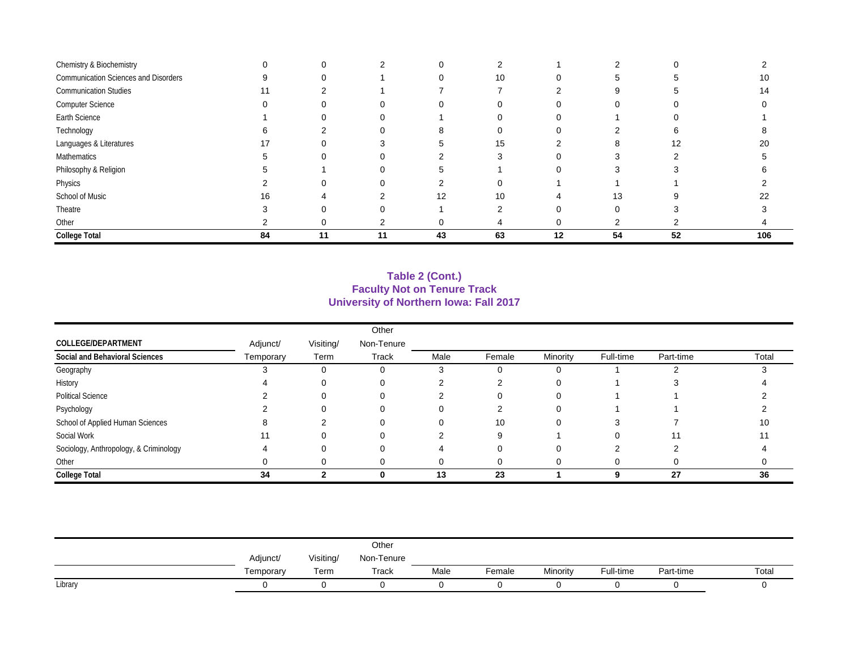| Chemistry & Biochemistry             |    | O  |    |    |    |    |    |    |     |
|--------------------------------------|----|----|----|----|----|----|----|----|-----|
| Communication Sciences and Disorders | 9  |    |    |    | 10 |    |    |    | 10  |
| <b>Communication Studies</b>         | 11 |    |    |    |    |    |    |    | 14  |
| <b>Computer Science</b>              |    |    |    |    |    |    |    |    |     |
| Earth Science                        |    |    |    |    |    |    |    |    |     |
| Technology                           |    |    |    |    |    |    |    |    |     |
| Languages & Literatures              |    |    |    |    | 15 |    |    | 12 | 20  |
| Mathematics                          |    | O  |    |    |    |    |    |    |     |
| Philosophy & Religion                |    |    |    |    |    |    |    |    |     |
| Physics                              |    |    |    |    |    |    |    |    |     |
| School of Music                      | 16 |    |    | 12 | 10 |    | 13 |    | 22  |
| Theatre                              |    |    |    |    |    |    |    |    |     |
| Other                                |    |    |    |    |    |    |    |    |     |
| <b>College Total</b>                 | 84 | 11 | 11 | 43 | 63 | 12 | 54 | 52 | 106 |

### **Table 2 (Cont.) Faculty Not on Tenure Track University of Northern Iowa: Fall 2017**

|                                        |           |           | Other        |      |        |          |           |           |       |
|----------------------------------------|-----------|-----------|--------------|------|--------|----------|-----------|-----------|-------|
| COLLEGE/DEPARTMENT                     | Adjunct/  | Visiting/ | Non-Tenure   |      |        |          |           |           |       |
| Social and Behavioral Sciences         | Temporary | Term      | <b>Track</b> | Male | Female | Minority | Full-time | Part-time | Total |
| Geography                              |           | $\Omega$  |              |      |        |          |           |           |       |
| History                                |           |           |              |      |        | 0        |           |           |       |
| <b>Political Science</b>               |           |           |              |      |        | ∩        |           |           |       |
| Psychology                             |           |           |              |      |        |          |           |           |       |
| School of Applied Human Sciences       |           |           |              |      | 10     |          |           |           | 10    |
| Social Work                            |           |           |              |      |        |          |           |           | 11    |
| Sociology, Anthropology, & Criminology |           |           |              |      |        |          |           |           |       |
| Other                                  |           |           |              | 0    |        |          |           |           |       |
| <b>College Total</b>                   | 34        |           |              | 13   | 23     |          | 9         | 27        | 36    |

|         |           |           | Other      |      |        |          |           |           |       |
|---------|-----------|-----------|------------|------|--------|----------|-----------|-----------|-------|
|         | Adjunct/  | Visiting/ | Non-Tenure |      |        |          |           |           |       |
|         | Femporary | Term      | Track      | Male | Female | Minority | Full-time | Part-time | Total |
| Library |           |           |            |      |        |          |           |           |       |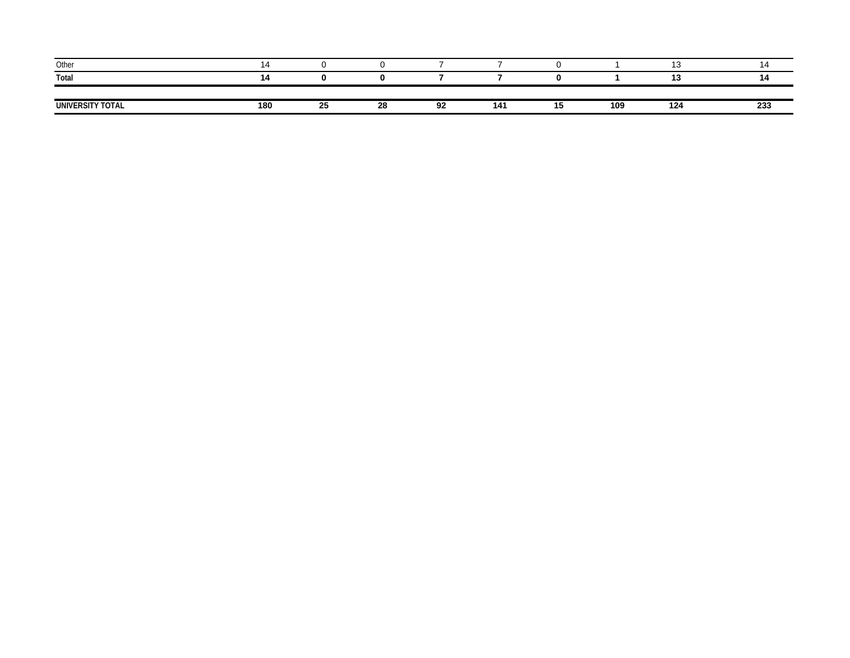| Other            |     |    |    |    |     |    |     |     | 4ء ا |
|------------------|-----|----|----|----|-----|----|-----|-----|------|
| Total            |     |    |    |    |     |    |     | '*  | 14   |
|                  |     |    |    |    |     |    |     |     |      |
| UNIVERSITY TOTAL | 180 | 25 | 28 | 92 | 141 | IJ | 109 | 124 | 233  |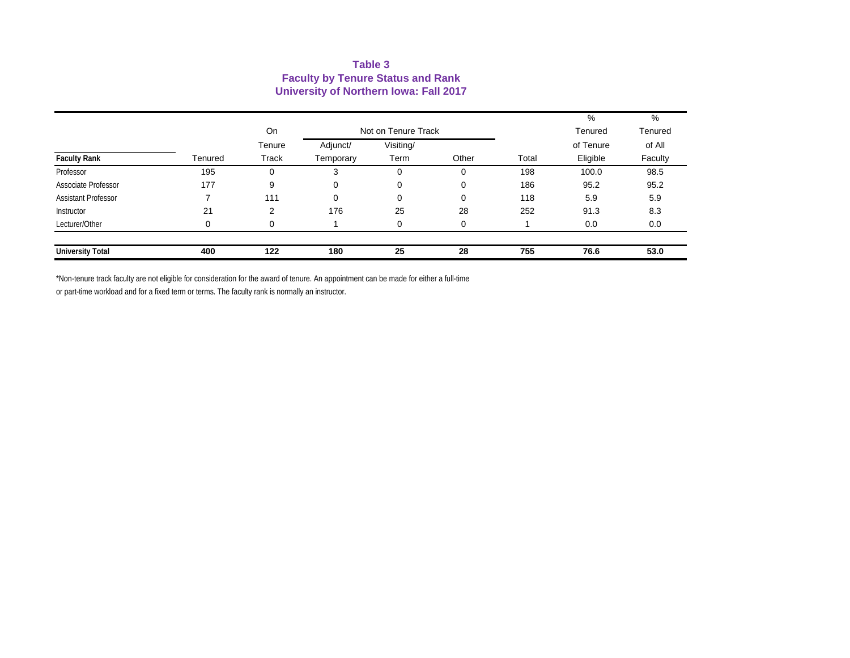#### **Table 3 Faculty by Tenure Status and Rank University of Northern Iowa: Fall 2017**

|                            |         |                       |                       |                                          |       |       | %                                | %                            |
|----------------------------|---------|-----------------------|-----------------------|------------------------------------------|-------|-------|----------------------------------|------------------------------|
| <b>Faculty Rank</b>        | Tenured | On<br>Tenure<br>Track | Adjunct/<br>Temporary | Not on Tenure Track<br>Visiting/<br>Term | Other | Total | Tenured<br>of Tenure<br>Eligible | Tenured<br>of All<br>Faculty |
| Professor                  | 195     | 0                     | 3                     | 0                                        | 0     | 198   | 100.0                            | 98.5                         |
| Associate Professor        | 177     | 9                     | 0                     | 0                                        | 0     | 186   | 95.2                             | 95.2                         |
| <b>Assistant Professor</b> |         | 111                   | $\Omega$              | $\mathbf 0$                              | 0     | 118   | 5.9                              | 5.9                          |
| Instructor                 | 21      | $\overline{2}$        | 176                   | 25                                       | 28    | 252   | 91.3                             | 8.3                          |
| Lecturer/Other             | 0       | 0                     |                       | $\mathbf 0$                              | 0     |       | 0.0                              | 0.0                          |
| <b>University Total</b>    | 400     | 122                   | 180                   | 25                                       | 28    | 755   | 76.6                             | 53.0                         |

\*Non-tenure track faculty are not eligible for consideration for the award of tenure. An appointment can be made for either a full-time or part-time workload and for a fixed term or terms. The faculty rank is normally an instructor.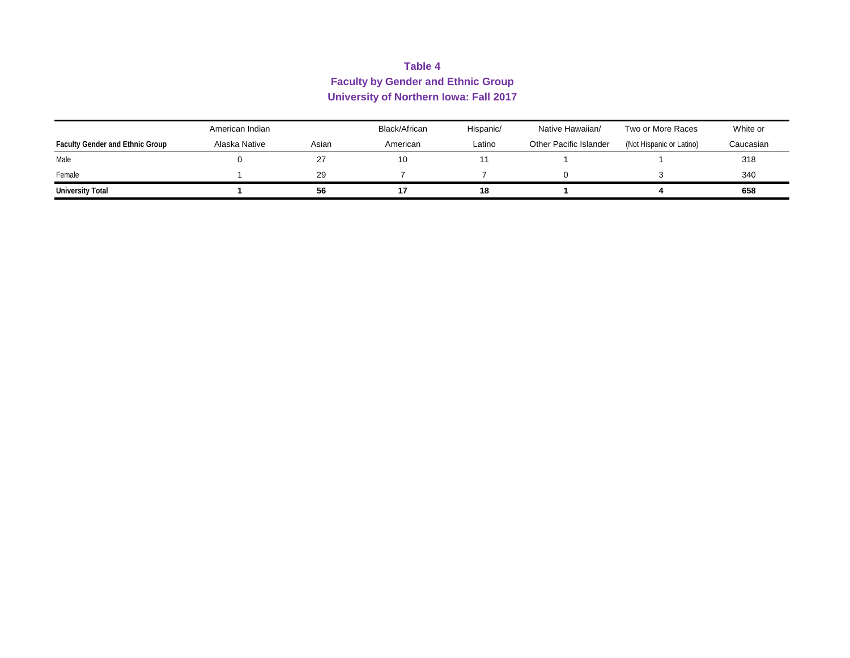## **Table 4 Faculty by Gender and Ethnic Group University of Northern Iowa: Fall 2017**

| American Indian                        |               | Black/African | Hispanic/ | Native Hawaiian/ | Two or More Races      | White or                 |           |
|----------------------------------------|---------------|---------------|-----------|------------------|------------------------|--------------------------|-----------|
| <b>Faculty Gender and Ethnic Group</b> | Alaska Native | Asian         | American  | Latino           | Other Pacific Islander | (Not Hispanic or Latino) | Caucasian |
| Male                                   |               | 27            | 10        |                  |                        |                          | 318       |
| Female                                 |               | 29            |           |                  |                        |                          | 340       |
| <b>University Total</b>                |               | 56            |           | 18               |                        |                          | 658       |